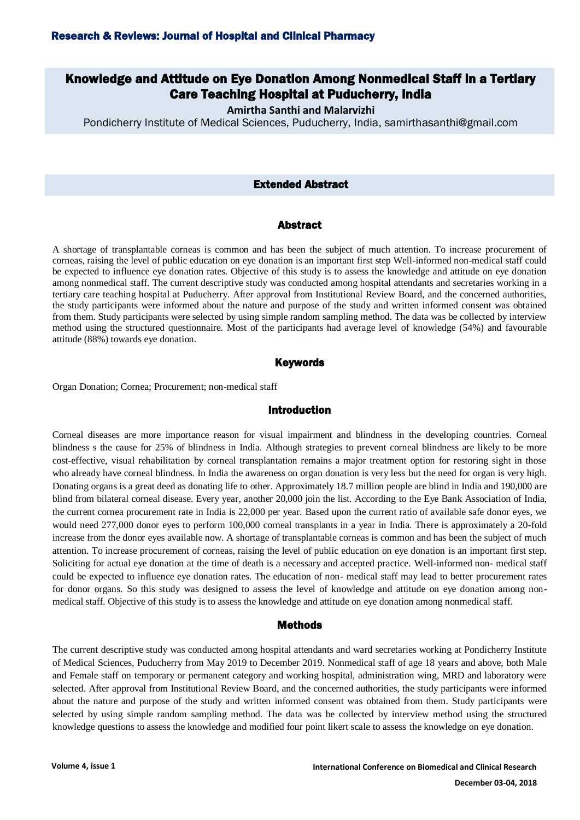# Knowledge and Attitude on Eye Donation Among Nonmedical Staff in a Tertiary Care Teaching Hospital at Puducherry, India

**Amirtha Santhi and Malarvizhi**

Pondicherry Institute of Medical Sciences, Puducherry, India, samirthasanthi@gmail.com

### Extended Abstract

#### Abstract

A shortage of transplantable corneas is common and has been the subject of much attention. To increase procurement of corneas, raising the level of public education on eye donation is an important first step Well-informed non-medical staff could be expected to influence eye donation rates. Objective of this study is to assess the knowledge and attitude on eye donation among nonmedical staff. The current descriptive study was conducted among hospital attendants and secretaries working in a tertiary care teaching hospital at Puducherry. After approval from Institutional Review Board, and the concerned authorities, the study participants were informed about the nature and purpose of the study and written informed consent was obtained from them. Study participants were selected by using simple random sampling method. The data was be collected by interview method using the structured questionnaire. Most of the participants had average level of knowledge (54%) and favourable attitude (88%) towards eye donation.

#### **Keywords**

Organ Donation; Cornea; Procurement; non-medical staff

## Introduction

Corneal diseases are more importance reason for visual impairment and blindness in the developing countries. Corneal blindness s the cause for 25% of blindness in India. Although strategies to prevent corneal blindness are likely to be more cost-effective, visual rehabilitation by corneal transplantation remains a major treatment option for restoring sight in those who already have corneal blindness. In India the awareness on organ donation is very less but the need for organ is very high. Donating organs is a great deed as donating life to other. Approximately 18.7 million people are blind in India and 190,000 are blind from bilateral corneal disease. Every year, another 20,000 join the list. According to the Eye Bank Association of India, the current cornea procurement rate in India is 22,000 per year. Based upon the current ratio of available safe donor eyes, we would need 277,000 donor eyes to perform 100,000 corneal transplants in a year in India. There is approximately a 20-fold increase from the donor eyes available now. A shortage of transplantable corneas is common and has been the subject of much attention. To increase procurement of corneas, raising the level of public education on eye donation is an important first step. Soliciting for actual eye donation at the time of death is a necessary and accepted practice. Well-informed non- medical staff could be expected to influence eye donation rates. The education of non- medical staff may lead to better procurement rates for donor organs. So this study was designed to assess the level of knowledge and attitude on eye donation among nonmedical staff. Objective of this study is to assess the knowledge and attitude on eye donation among nonmedical staff.

#### Methods

The current descriptive study was conducted among hospital attendants and ward secretaries working at Pondicherry Institute of Medical Sciences, Puducherry from May 2019 to December 2019. Nonmedical staff of age 18 years and above, both Male and Female staff on temporary or permanent category and working hospital, administration wing, MRD and laboratory were selected. After approval from Institutional Review Board, and the concerned authorities, the study participants were informed about the nature and purpose of the study and written informed consent was obtained from them. Study participants were selected by using simple random sampling method. The data was be collected by interview method using the structured knowledge questions to assess the knowledge and modified four point likert scale to assess the knowledge on eye donation.

**December 03-04, 2018**